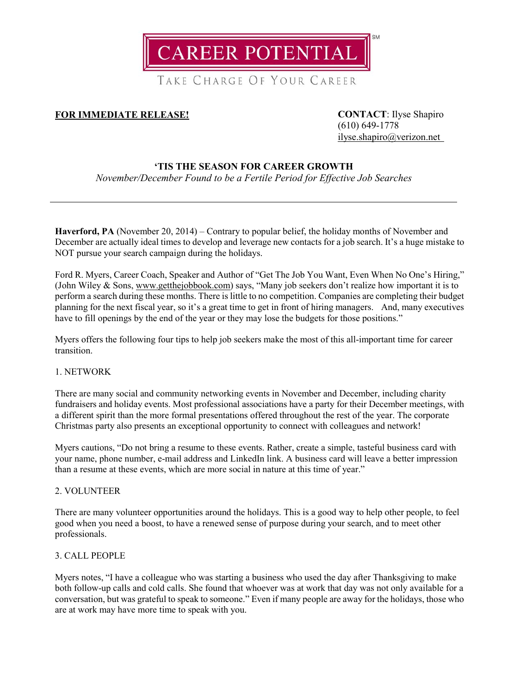**CAREER POTENTIAL** 

TAKE CHARGE OF YOUR CAREER

# **FOR IMMEDIATE RELEASE! CONTACT**: Ilyse Shapiro

(610) 649-1778 [ilyse.shapiro@verizon.net](mailto:ilyse.shapiro@verizon.net)

## **'TIS THE SEASON FOR CAREER GROWTH**

*November/December Found to be a Fertile Period for Effective Job Searches*

**Haverford, PA** (November 20, 2014) – Contrary to popular belief, the holiday months of November and December are actually ideal times to develop and leverage new contacts for a job search. It's a huge mistake to NOT pursue your search campaign during the holidays.

Ford R. Myers, Career Coach, Speaker and Author of "Get The Job You Want, Even When No One's Hiring," (John Wiley & Sons, [www.getthejobbook.com\)](http://www.getthejobbook.com/) says, "Many job seekers don't realize how important it is to perform a search during these months. There is little to no competition. Companies are completing their budget planning for the next fiscal year, so it's a great time to get in front of hiring managers. And, many executives have to fill openings by the end of the year or they may lose the budgets for those positions."

Myers offers the following four tips to help job seekers make the most of this all-important time for career transition.

### 1. NETWORK

There are many social and community networking events in November and December, including charity fundraisers and holiday events. Most professional associations have a party for their December meetings, with a different spirit than the more formal presentations offered throughout the rest of the year. The corporate Christmas party also presents an exceptional opportunity to connect with colleagues and network!

Myers cautions, "Do not bring a resume to these events. Rather, create a simple, tasteful business card with your name, phone number, e-mail address and LinkedIn link. A business card will leave a better impression than a resume at these events, which are more social in nature at this time of year."

### 2. VOLUNTEER

There are many volunteer opportunities around the holidays. This is a good way to help other people, to feel good when you need a boost, to have a renewed sense of purpose during your search, and to meet other professionals.

### 3. CALL PEOPLE

Myers notes, "I have a colleague who was starting a business who used the day after Thanksgiving to make both follow-up calls and cold calls. She found that whoever was at work that day was not only available for a conversation, but was grateful to speak to someone." Even if many people are away for the holidays, those who are at work may have more time to speak with you.